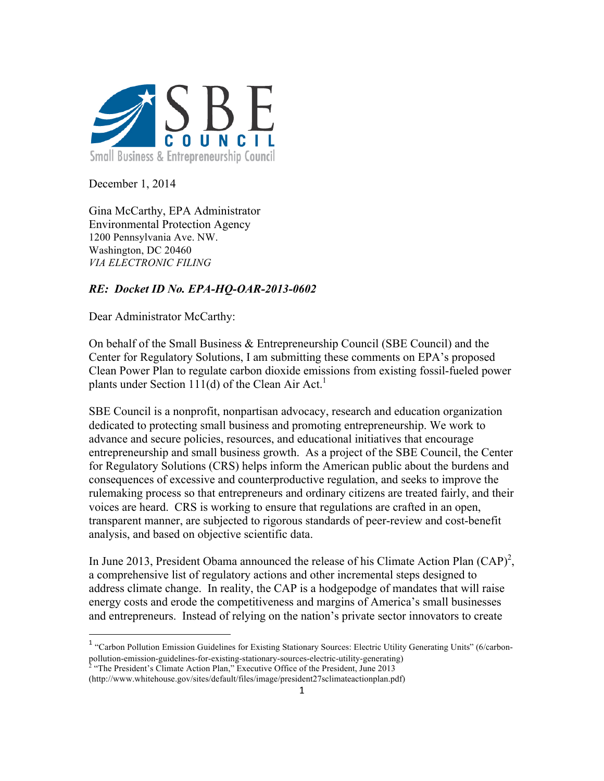

December 1, 2014

Gina McCarthy, EPA Administrator Environmental Protection Agency 1200 Pennsylvania Ave. NW. Washington, DC 20460 *VIA ELECTRONIC FILING*

# *RE: Docket ID No. EPA-HQ-OAR-2013-0602*

Dear Administrator McCarthy:

<u> 1989 - Johann Stein, fransk politik (d. 1989)</u>

On behalf of the Small Business & Entrepreneurship Council (SBE Council) and the Center for Regulatory Solutions, I am submitting these comments on EPA's proposed Clean Power Plan to regulate carbon dioxide emissions from existing fossil-fueled power plants under Section 111(d) of the Clean Air Act.<sup>1</sup>

SBE Council is a nonprofit, nonpartisan advocacy, research and education organization dedicated to protecting small business and promoting entrepreneurship. We work to advance and secure policies, resources, and educational initiatives that encourage entrepreneurship and small business growth. As a project of the SBE Council, the Center for Regulatory Solutions (CRS) helps inform the American public about the burdens and consequences of excessive and counterproductive regulation, and seeks to improve the rulemaking process so that entrepreneurs and ordinary citizens are treated fairly, and their voices are heard. CRS is working to ensure that regulations are crafted in an open, transparent manner, are subjected to rigorous standards of peer-review and cost-benefit analysis, and based on objective scientific data.

In June 2013, President Obama announced the release of his Climate Action Plan  $(CAP)^2$ , a comprehensive list of regulatory actions and other incremental steps designed to address climate change. In reality, the CAP is a hodgepodge of mandates that will raise energy costs and erode the competitiveness and margins of America's small businesses and entrepreneurs. Instead of relying on the nation's private sector innovators to create

<sup>&</sup>lt;sup>1</sup> "Carbon Pollution Emission Guidelines for Existing Stationary Sources: Electric Utility Generating Units" (6/carbonpollution-emission-guidelines-for-existing-stationary-sources-electric-utility-generating)<br><sup>2</sup> "The President's Climate Action Plan," Executive Office of the President, June 2013

<sup>(</sup>http://www.whitehouse.gov/sites/default/files/image/president27sclimateactionplan.pdf)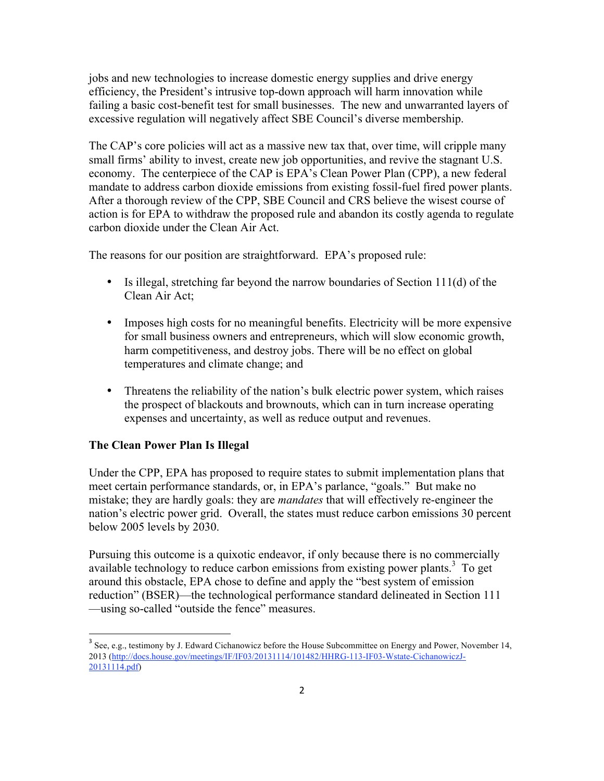jobs and new technologies to increase domestic energy supplies and drive energy efficiency, the President's intrusive top-down approach will harm innovation while failing a basic cost-benefit test for small businesses. The new and unwarranted layers of excessive regulation will negatively affect SBE Council's diverse membership.

The CAP's core policies will act as a massive new tax that, over time, will cripple many small firms' ability to invest, create new job opportunities, and revive the stagnant U.S. economy. The centerpiece of the CAP is EPA's Clean Power Plan (CPP), a new federal mandate to address carbon dioxide emissions from existing fossil-fuel fired power plants. After a thorough review of the CPP, SBE Council and CRS believe the wisest course of action is for EPA to withdraw the proposed rule and abandon its costly agenda to regulate carbon dioxide under the Clean Air Act.

The reasons for our position are straightforward. EPA's proposed rule:

- Is illegal, stretching far beyond the narrow boundaries of Section 111(d) of the Clean Air Act;
- Imposes high costs for no meaningful benefits. Electricity will be more expensive for small business owners and entrepreneurs, which will slow economic growth, harm competitiveness, and destroy jobs. There will be no effect on global temperatures and climate change; and
- Threatens the reliability of the nation's bulk electric power system, which raises the prospect of blackouts and brownouts, which can in turn increase operating expenses and uncertainty, as well as reduce output and revenues.

### **The Clean Power Plan Is Illegal**

<u> 1989 - Johann Stein, fransk politik (d. 1989)</u>

Under the CPP, EPA has proposed to require states to submit implementation plans that meet certain performance standards, or, in EPA's parlance, "goals." But make no mistake; they are hardly goals: they are *mandates* that will effectively re-engineer the nation's electric power grid. Overall, the states must reduce carbon emissions 30 percent below 2005 levels by 2030.

Pursuing this outcome is a quixotic endeavor, if only because there is no commercially available technology to reduce carbon emissions from existing power plants.<sup>3</sup> To get around this obstacle, EPA chose to define and apply the "best system of emission reduction" (BSER)—the technological performance standard delineated in Section 111 —using so-called "outside the fence" measures.

<sup>&</sup>lt;sup>3</sup> See, e.g., testimony by J. Edward Cichanowicz before the House Subcommittee on Energy and Power, November 14, 2013 (http://docs.house.gov/meetings/IF/IF03/20131114/101482/HHRG-113-IF03-Wstate-CichanowiczJ-20131114.pdf)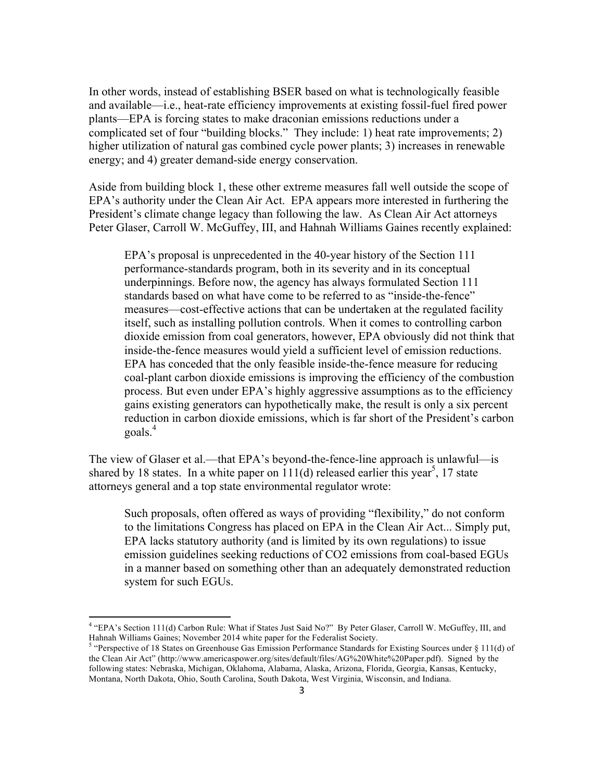In other words, instead of establishing BSER based on what is technologically feasible and available—i.e., heat-rate efficiency improvements at existing fossil-fuel fired power plants—EPA is forcing states to make draconian emissions reductions under a complicated set of four "building blocks." They include: 1) heat rate improvements; 2) higher utilization of natural gas combined cycle power plants; 3) increases in renewable energy; and 4) greater demand-side energy conservation.

Aside from building block 1, these other extreme measures fall well outside the scope of EPA's authority under the Clean Air Act. EPA appears more interested in furthering the President's climate change legacy than following the law. As Clean Air Act attorneys Peter Glaser, Carroll W. McGuffey, III, and Hahnah Williams Gaines recently explained:

EPA's proposal is unprecedented in the 40-year history of the Section 111 performance-standards program, both in its severity and in its conceptual underpinnings. Before now, the agency has always formulated Section 111 standards based on what have come to be referred to as "inside-the-fence" measures—cost-effective actions that can be undertaken at the regulated facility itself, such as installing pollution controls. When it comes to controlling carbon dioxide emission from coal generators, however, EPA obviously did not think that inside-the-fence measures would yield a sufficient level of emission reductions. EPA has conceded that the only feasible inside-the-fence measure for reducing coal-plant carbon dioxide emissions is improving the efficiency of the combustion process. But even under EPA's highly aggressive assumptions as to the efficiency gains existing generators can hypothetically make, the result is only a six percent reduction in carbon dioxide emissions, which is far short of the President's carbon goals.<sup>4</sup>

The view of Glaser et al.—that EPA's beyond-the-fence-line approach is unlawful—is shared by 18 states. In a white paper on  $111(d)$  released earlier this year<sup>5</sup>, 17 state attorneys general and a top state environmental regulator wrote:

Such proposals, often offered as ways of providing "flexibility," do not conform to the limitations Congress has placed on EPA in the Clean Air Act... Simply put, EPA lacks statutory authority (and is limited by its own regulations) to issue emission guidelines seeking reductions of CO2 emissions from coal-based EGUs in a manner based on something other than an adequately demonstrated reduction system for such EGUs.

<sup>4</sup> "EPA's Section 111(d) Carbon Rule: What if States Just Said No?" By Peter Glaser, Carroll W. McGuffey, III, and Hahnah Williams Gaines; November 2014 white paper for the Federalist Society.<br><sup>5</sup> "Perspective of 18 States on Greenhouse Gas Emission Performance Standards for Existing Sources under § 111(d) of

the Clean Air Act" (http://www.americaspower.org/sites/default/files/AG%20White%20Paper.pdf). Signed by the following states: Nebraska, Michigan, Oklahoma, Alabama, Alaska, Arizona, Florida, Georgia, Kansas, Kentucky, Montana, North Dakota, Ohio, South Carolina, South Dakota, West Virginia, Wisconsin, and Indiana.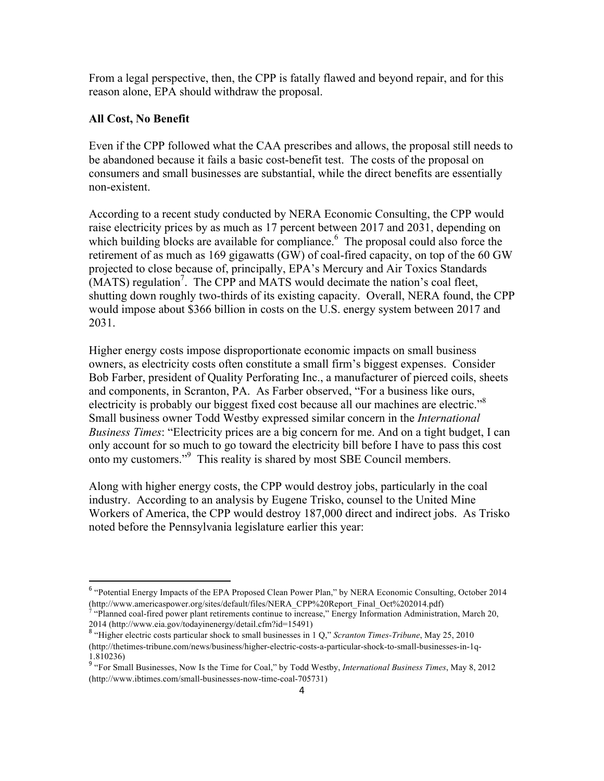From a legal perspective, then, the CPP is fatally flawed and beyond repair, and for this reason alone, EPA should withdraw the proposal.

### **All Cost, No Benefit**

<u> 1989 - Johann Stein, fransk politik (d. 1989)</u>

Even if the CPP followed what the CAA prescribes and allows, the proposal still needs to be abandoned because it fails a basic cost-benefit test. The costs of the proposal on consumers and small businesses are substantial, while the direct benefits are essentially non-existent.

According to a recent study conducted by NERA Economic Consulting, the CPP would raise electricity prices by as much as 17 percent between 2017 and 2031, depending on which building blocks are available for compliance.<sup>6</sup> The proposal could also force the retirement of as much as 169 gigawatts (GW) of coal-fired capacity, on top of the 60 GW projected to close because of, principally, EPA's Mercury and Air Toxics Standards  $(MATS)$  regulation<sup>7</sup>. The CPP and MATS would decimate the nation's coal fleet, shutting down roughly two-thirds of its existing capacity. Overall, NERA found, the CPP would impose about \$366 billion in costs on the U.S. energy system between 2017 and 2031.

Higher energy costs impose disproportionate economic impacts on small business owners, as electricity costs often constitute a small firm's biggest expenses. Consider Bob Farber, president of Quality Perforating Inc., a manufacturer of pierced coils, sheets and components, in Scranton, PA. As Farber observed, "For a business like ours, electricity is probably our biggest fixed cost because all our machines are electric."<sup>8</sup> Small business owner Todd Westby expressed similar concern in the *International Business Times*: "Electricity prices are a big concern for me. And on a tight budget, I can only account for so much to go toward the electricity bill before I have to pass this cost onto my customers."9 This reality is shared by most SBE Council members.

Along with higher energy costs, the CPP would destroy jobs, particularly in the coal industry. According to an analysis by Eugene Trisko, counsel to the United Mine Workers of America, the CPP would destroy 187,000 direct and indirect jobs. As Trisko noted before the Pennsylvania legislature earlier this year:

<sup>6</sup> "Potential Energy Impacts of the EPA Proposed Clean Power Plan," by NERA Economic Consulting, October 2014 (http://www.americaspower.org/sites/default/files/NERA\_CPP%20Report\_Final\_Oct%202014.pdf)

<sup>7</sup> "Planned coal-fired power plant retirements continue to increase," Energy Information Administration, March 20, 2014 (http://www.eia.gov/todayinenergy/detail.cfm?id=15491)

<sup>&</sup>lt;sup>8</sup> "Higher electric costs particular shock to small businesses in 1 Q," *Scranton Times-Tribune*, May 25, 2010 (http://thetimes-tribune.com/news/business/higher-electric-costs-a-particular-shock-to-small-businesses-in-1q-1.810236)

<sup>9</sup> "For Small Businesses, Now Is the Time for Coal," by Todd Westby, *International Business Times*, May 8, 2012 (http://www.ibtimes.com/small-businesses-now-time-coal-705731)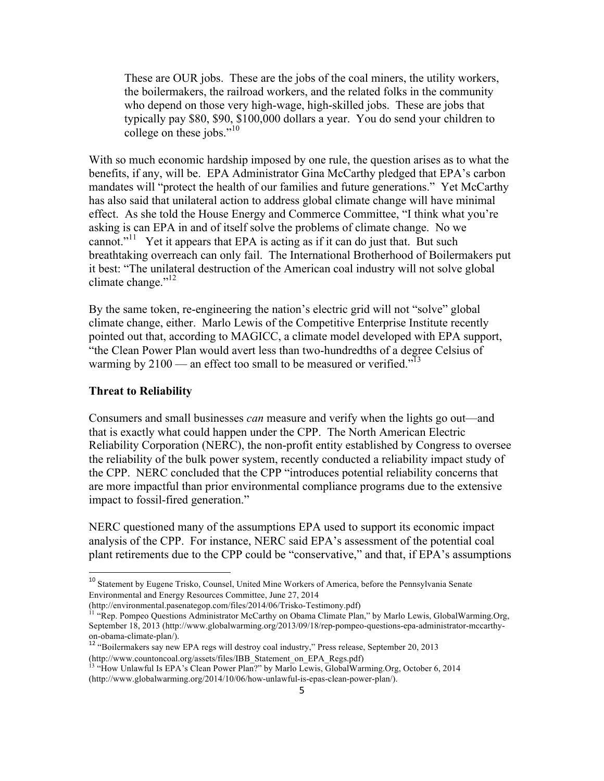These are OUR jobs. These are the jobs of the coal miners, the utility workers, the boilermakers, the railroad workers, and the related folks in the community who depend on those very high-wage, high-skilled jobs. These are jobs that typically pay \$80, \$90, \$100,000 dollars a year. You do send your children to college on these jobs."<sup>10</sup>

With so much economic hardship imposed by one rule, the question arises as to what the benefits, if any, will be. EPA Administrator Gina McCarthy pledged that EPA's carbon mandates will "protect the health of our families and future generations." Yet McCarthy has also said that unilateral action to address global climate change will have minimal effect. As she told the House Energy and Commerce Committee, "I think what you're asking is can EPA in and of itself solve the problems of climate change. No we cannot."<sup>11</sup> Yet it appears that EPA is acting as if it can do just that. But such breathtaking overreach can only fail. The International Brotherhood of Boilermakers put it best: "The unilateral destruction of the American coal industry will not solve global climate change."<sup>12</sup>

By the same token, re-engineering the nation's electric grid will not "solve" global climate change, either. Marlo Lewis of the Competitive Enterprise Institute recently pointed out that, according to MAGICC, a climate model developed with EPA support, "the Clean Power Plan would avert less than two-hundredths of a degree Celsius of warming by  $2100$  — an effect too small to be measured or verified.<sup> $13$ </sup>

#### **Threat to Reliability**

<u> 1989 - Johann Stein, fransk politik (d. 1989)</u>

Consumers and small businesses *can* measure and verify when the lights go out—and that is exactly what could happen under the CPP. The North American Electric Reliability Corporation (NERC), the non-profit entity established by Congress to oversee the reliability of the bulk power system, recently conducted a reliability impact study of the CPP. NERC concluded that the CPP "introduces potential reliability concerns that are more impactful than prior environmental compliance programs due to the extensive impact to fossil-fired generation."

NERC questioned many of the assumptions EPA used to support its economic impact analysis of the CPP. For instance, NERC said EPA's assessment of the potential coal plant retirements due to the CPP could be "conservative," and that, if EPA's assumptions

<sup>&</sup>lt;sup>10</sup> Statement by Eugene Trisko, Counsel, United Mine Workers of America, before the Pennsylvania Senate Environmental and Energy Resources Committee, June 27, 2014<br>(http://environmental.pasenategop.com/files/2014/06/Trisko-Testimony.pdf)

<sup>&</sup>lt;sup>1</sup> "Rep. Pompeo Questions Administrator McCarthy on Obama Climate Plan," by Marlo Lewis, GlobalWarming.Org, September 18, 2013 (http://www.globalwarming.org/2013/09/18/rep-pompeo-questions-epa-administrator-mccarthyon-obama-climate-plan/).<br><sup>12</sup> "Boilermakers say new EPA regs will destroy coal industry," Press release, September 20, 2013

<sup>(</sup>http://www.countoncoal.org/assets/files/IBB\_Statement\_on\_EPA\_Regs.pdf)

 $^{13}$  "How Unlawful Is EPA's Clean Power Plan?" by Marlo Lewis, GlobalWarming.Org, October 6, 2014 (http://www.globalwarming.org/2014/10/06/how-unlawful-is-epas-clean-power-plan/).